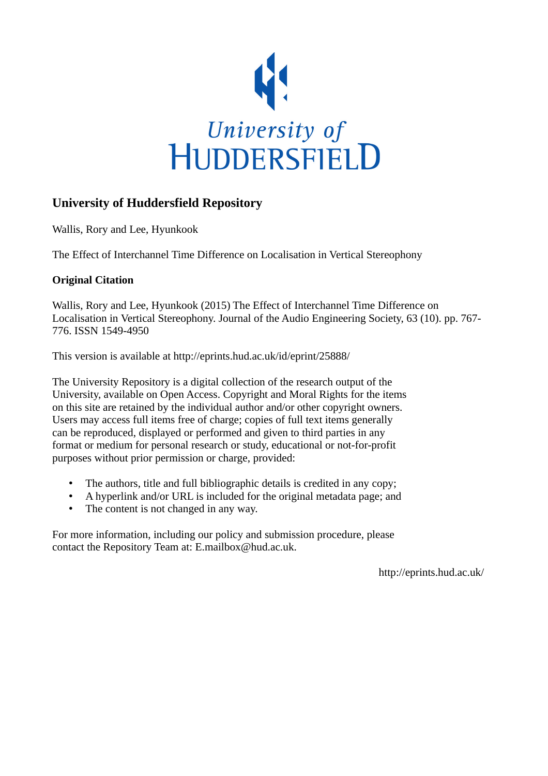

# **University of Huddersfield Repository**

Wallis, Rory and Lee, Hyunkook

The Effect of Interchannel Time Difference on Localisation in Vertical Stereophony

# **Original Citation**

Wallis, Rory and Lee, Hyunkook (2015) The Effect of Interchannel Time Difference on Localisation in Vertical Stereophony. Journal of the Audio Engineering Society, 63 (10). pp. 767- 776. ISSN 1549-4950

This version is available at http://eprints.hud.ac.uk/id/eprint/25888/

The University Repository is a digital collection of the research output of the University, available on Open Access. Copyright and Moral Rights for the items on this site are retained by the individual author and/or other copyright owners. Users may access full items free of charge; copies of full text items generally can be reproduced, displayed or performed and given to third parties in any format or medium for personal research or study, educational or not-for-profit purposes without prior permission or charge, provided:

- The authors, title and full bibliographic details is credited in any copy;
- A hyperlink and/or URL is included for the original metadata page; and
- The content is not changed in any way.

For more information, including our policy and submission procedure, please contact the Repository Team at: E.mailbox@hud.ac.uk.

http://eprints.hud.ac.uk/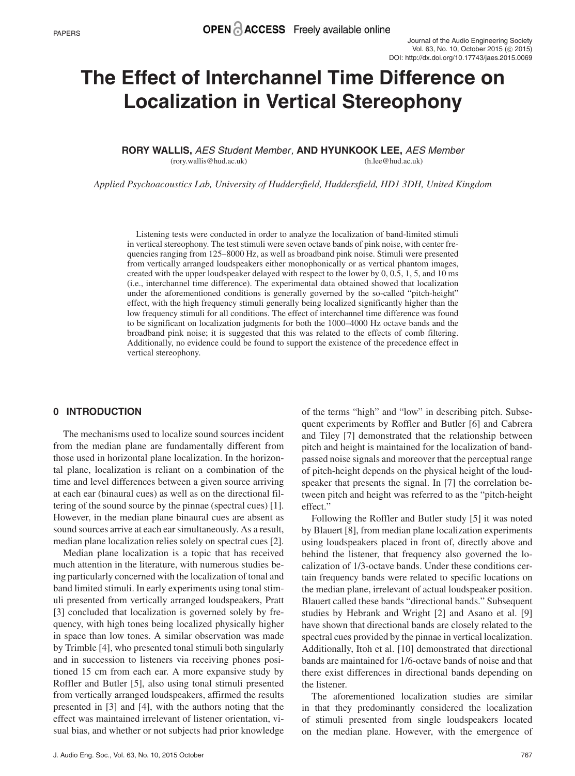# **The Effect of Interchannel Time Difference on Localization in Vertical Stereophony**

**RORY WALLIS,** AES Student Member , **AND HYUNKOOK LEE,** AES Member (rory.wallis@hud.ac.uk) (h.lee@hud.ac.uk)

*Applied Psychoacoustics Lab, University of Huddersfield, Huddersfield, HD1 3DH, United Kingdom*

Listening tests were conducted in order to analyze the localization of band-limited stimuli in vertical stereophony. The test stimuli were seven octave bands of pink noise, with center frequencies ranging from 125–8000 Hz, as well as broadband pink noise. Stimuli were presented from vertically arranged loudspeakers either monophonically or as vertical phantom images, created with the upper loudspeaker delayed with respect to the lower by 0, 0.5, 1, 5, and 10 ms (i.e., interchannel time difference). The experimental data obtained showed that localization under the aforementioned conditions is generally governed by the so-called "pitch-height" effect, with the high frequency stimuli generally being localized significantly higher than the low frequency stimuli for all conditions. The effect of interchannel time difference was found to be significant on localization judgments for both the 1000–4000 Hz octave bands and the broadband pink noise; it is suggested that this was related to the effects of comb filtering. Additionally, no evidence could be found to support the existence of the precedence effect in vertical stereophony.

#### **0 INTRODUCTION**

The mechanisms used to localize sound sources incident from the median plane are fundamentally different from those used in horizontal plane localization. In the horizontal plane, localization is reliant on a combination of the time and level differences between a given source arriving at each ear (binaural cues) as well as on the directional filtering of the sound source by the pinnae (spectral cues) [1]. However, in the median plane binaural cues are absent as sound sources arrive at each ear simultaneously. As a result, median plane localization relies solely on spectral cues [2].

Median plane localization is a topic that has received much attention in the literature, with numerous studies being particularly concerned with the localization of tonal and band limited stimuli. In early experiments using tonal stimuli presented from vertically arranged loudspeakers, Pratt [3] concluded that localization is governed solely by frequency, with high tones being localized physically higher in space than low tones. A similar observation was made by Trimble [4], who presented tonal stimuli both singularly and in succession to listeners via receiving phones positioned 15 cm from each ear. A more expansive study by Roffler and Butler [5], also using tonal stimuli presented from vertically arranged loudspeakers, affirmed the results presented in [3] and [4], with the authors noting that the effect was maintained irrelevant of listener orientation, visual bias, and whether or not subjects had prior knowledge of the terms "high" and "low" in describing pitch. Subsequent experiments by Roffler and Butler [6] and Cabrera and Tiley [7] demonstrated that the relationship between pitch and height is maintained for the localization of bandpassed noise signals and moreover that the perceptual range of pitch-height depends on the physical height of the loudspeaker that presents the signal. In [7] the correlation between pitch and height was referred to as the "pitch-height effect."

Following the Roffler and Butler study [5] it was noted by Blauert [8], from median plane localization experiments using loudspeakers placed in front of, directly above and behind the listener, that frequency also governed the localization of 1/3-octave bands. Under these conditions certain frequency bands were related to specific locations on the median plane, irrelevant of actual loudspeaker position. Blauert called these bands "directional bands." Subsequent studies by Hebrank and Wright [2] and Asano et al. [9] have shown that directional bands are closely related to the spectral cues provided by the pinnae in vertical localization. Additionally, Itoh et al. [10] demonstrated that directional bands are maintained for 1/6-octave bands of noise and that there exist differences in directional bands depending on the listener.

The aforementioned localization studies are similar in that they predominantly considered the localization of stimuli presented from single loudspeakers located on the median plane. However, with the emergence of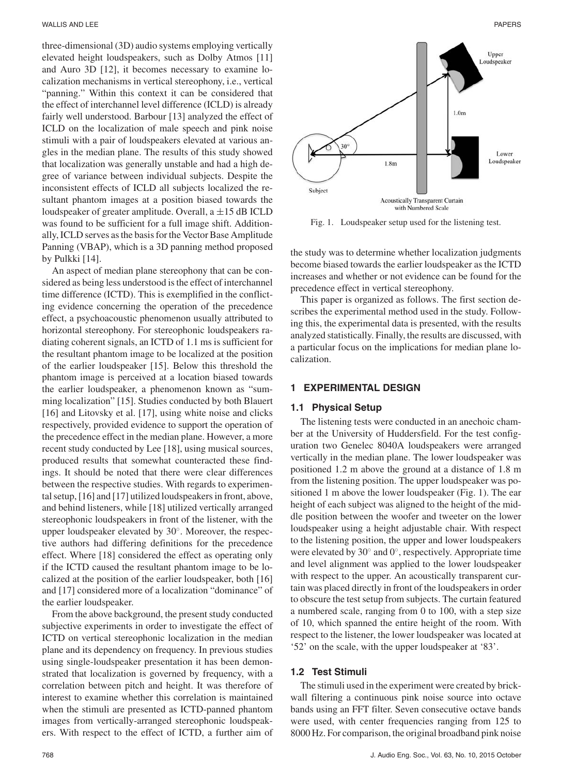three-dimensional (3D) audio systems employing vertically elevated height loudspeakers, such as Dolby Atmos [11] and Auro 3D [12], it becomes necessary to examine localization mechanisms in vertical stereophony, i.e., vertical "panning." Within this context it can be considered that the effect of interchannel level difference (ICLD) is already fairly well understood. Barbour [13] analyzed the effect of ICLD on the localization of male speech and pink noise stimuli with a pair of loudspeakers elevated at various angles in the median plane. The results of this study showed that localization was generally unstable and had a high degree of variance between individual subjects. Despite the inconsistent effects of ICLD all subjects localized the resultant phantom images at a position biased towards the loudspeaker of greater amplitude. Overall, a  $\pm 15$  dB ICLD was found to be sufficient for a full image shift. Additionally, ICLD serves as the basis for the Vector Base Amplitude Panning (VBAP), which is a 3D panning method proposed by Pulkki [14].

An aspect of median plane stereophony that can be considered as being less understood is the effect of interchannel time difference (ICTD). This is exemplified in the conflicting evidence concerning the operation of the precedence effect, a psychoacoustic phenomenon usually attributed to horizontal stereophony. For stereophonic loudspeakers radiating coherent signals, an ICTD of 1.1 ms is sufficient for the resultant phantom image to be localized at the position of the earlier loudspeaker [15]. Below this threshold the phantom image is perceived at a location biased towards the earlier loudspeaker, a phenomenon known as "summing localization" [15]. Studies conducted by both Blauert [16] and Litovsky et al. [17], using white noise and clicks respectively, provided evidence to support the operation of the precedence effect in the median plane. However, a more recent study conducted by Lee [18], using musical sources, produced results that somewhat counteracted these findings. It should be noted that there were clear differences between the respective studies. With regards to experimental setup, [16] and [17] utilized loudspeakers in front, above, and behind listeners, while [18] utilized vertically arranged stereophonic loudspeakers in front of the listener, with the upper loudspeaker elevated by 30◦. Moreover, the respective authors had differing definitions for the precedence effect. Where [18] considered the effect as operating only if the ICTD caused the resultant phantom image to be localized at the position of the earlier loudspeaker, both [16] and [17] considered more of a localization "dominance" of the earlier loudspeaker.

From the above background, the present study conducted subjective experiments in order to investigate the effect of ICTD on vertical stereophonic localization in the median plane and its dependency on frequency. In previous studies using single-loudspeaker presentation it has been demonstrated that localization is governed by frequency, with a correlation between pitch and height. It was therefore of interest to examine whether this correlation is maintained when the stimuli are presented as ICTD-panned phantom images from vertically-arranged stereophonic loudspeakers. With respect to the effect of ICTD, a further aim of



Fig. 1. Loudspeaker setup used for the listening test.

the study was to determine whether localization judgments become biased towards the earlier loudspeaker as the ICTD increases and whether or not evidence can be found for the precedence effect in vertical stereophony.

This paper is organized as follows. The first section describes the experimental method used in the study. Following this, the experimental data is presented, with the results analyzed statistically. Finally, the results are discussed, with a particular focus on the implications for median plane localization.

#### **1 EXPERIMENTAL DESIGN**

#### **1.1 Physical Setup**

The listening tests were conducted in an anechoic chamber at the University of Huddersfield. For the test configuration two Genelec 8040A loudspeakers were arranged vertically in the median plane. The lower loudspeaker was positioned 1.2 m above the ground at a distance of 1.8 m from the listening position. The upper loudspeaker was positioned 1 m above the lower loudspeaker (Fig. 1). The ear height of each subject was aligned to the height of the middle position between the woofer and tweeter on the lower loudspeaker using a height adjustable chair. With respect to the listening position, the upper and lower loudspeakers were elevated by 30◦ and 0◦, respectively. Appropriate time and level alignment was applied to the lower loudspeaker with respect to the upper. An acoustically transparent curtain was placed directly in front of the loudspeakers in order to obscure the test setup from subjects. The curtain featured a numbered scale, ranging from 0 to 100, with a step size of 10, which spanned the entire height of the room. With respect to the listener, the lower loudspeaker was located at '52' on the scale, with the upper loudspeaker at '83'.

# **1.2 Test Stimuli**

The stimuli used in the experiment were created by brickwall filtering a continuous pink noise source into octave bands using an FFT filter. Seven consecutive octave bands were used, with center frequencies ranging from 125 to 8000 Hz. For comparison, the original broadband pink noise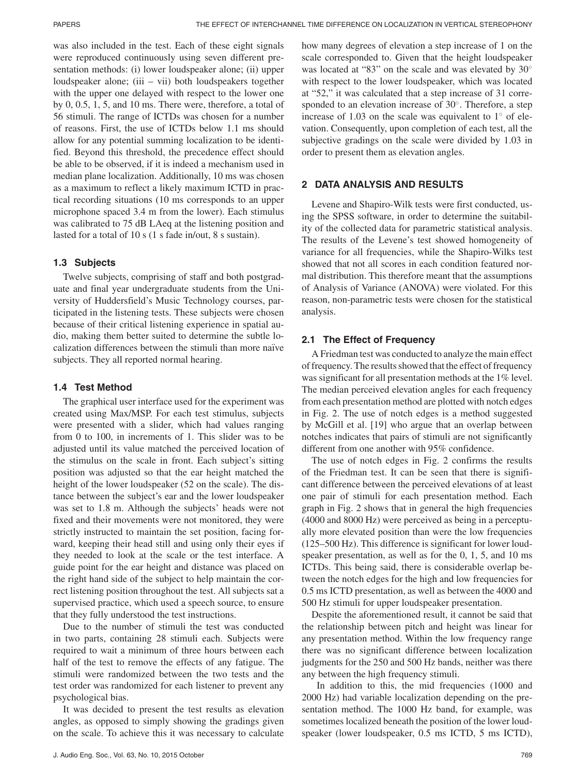was also included in the test. Each of these eight signals were reproduced continuously using seven different presentation methods: (i) lower loudspeaker alone; (ii) upper loudspeaker alone; (iii – vii) both loudspeakers together with the upper one delayed with respect to the lower one by 0, 0.5, 1, 5, and 10 ms. There were, therefore, a total of 56 stimuli. The range of ICTDs was chosen for a number of reasons. First, the use of ICTDs below 1.1 ms should allow for any potential summing localization to be identified. Beyond this threshold, the precedence effect should be able to be observed, if it is indeed a mechanism used in median plane localization. Additionally, 10 ms was chosen as a maximum to reflect a likely maximum ICTD in practical recording situations (10 ms corresponds to an upper microphone spaced 3.4 m from the lower). Each stimulus was calibrated to 75 dB LAeq at the listening position and lasted for a total of 10 s (1 s fade in/out, 8 s sustain).

# **1.3 Subjects**

Twelve subjects, comprising of staff and both postgraduate and final year undergraduate students from the University of Huddersfield's Music Technology courses, participated in the listening tests. These subjects were chosen because of their critical listening experience in spatial audio, making them better suited to determine the subtle localization differences between the stimuli than more naïve subjects. They all reported normal hearing.

# **1.4 Test Method**

The graphical user interface used for the experiment was created using Max/MSP. For each test stimulus, subjects were presented with a slider, which had values ranging from 0 to 100, in increments of 1. This slider was to be adjusted until its value matched the perceived location of the stimulus on the scale in front. Each subject's sitting position was adjusted so that the ear height matched the height of the lower loudspeaker (52 on the scale). The distance between the subject's ear and the lower loudspeaker was set to 1.8 m. Although the subjects' heads were not fixed and their movements were not monitored, they were strictly instructed to maintain the set position, facing forward, keeping their head still and using only their eyes if they needed to look at the scale or the test interface. A guide point for the ear height and distance was placed on the right hand side of the subject to help maintain the correct listening position throughout the test. All subjects sat a supervised practice, which used a speech source, to ensure that they fully understood the test instructions.

Due to the number of stimuli the test was conducted in two parts, containing 28 stimuli each. Subjects were required to wait a minimum of three hours between each half of the test to remove the effects of any fatigue. The stimuli were randomized between the two tests and the test order was randomized for each listener to prevent any psychological bias.

It was decided to present the test results as elevation angles, as opposed to simply showing the gradings given on the scale. To achieve this it was necessary to calculate how many degrees of elevation a step increase of 1 on the scale corresponded to. Given that the height loudspeaker was located at "83" on the scale and was elevated by 30° with respect to the lower loudspeaker, which was located at "52," it was calculated that a step increase of 31 corresponded to an elevation increase of 30◦. Therefore, a step increase of 1.03 on the scale was equivalent to  $1°$  of elevation. Consequently, upon completion of each test, all the subjective gradings on the scale were divided by 1.03 in order to present them as elevation angles.

# **2 DATA ANALYSIS AND RESULTS**

Levene and Shapiro-Wilk tests were first conducted, using the SPSS software, in order to determine the suitability of the collected data for parametric statistical analysis. The results of the Levene's test showed homogeneity of variance for all frequencies, while the Shapiro-Wilks test showed that not all scores in each condition featured normal distribution. This therefore meant that the assumptions of Analysis of Variance (ANOVA) were violated. For this reason, non-parametric tests were chosen for the statistical analysis.

# **2.1 The Effect of Frequency**

A Friedman test was conducted to analyze the main effect of frequency. The results showed that the effect of frequency was significant for all presentation methods at the 1% level. The median perceived elevation angles for each frequency from each presentation method are plotted with notch edges in Fig. 2. The use of notch edges is a method suggested by McGill et al. [19] who argue that an overlap between notches indicates that pairs of stimuli are not significantly different from one another with 95% confidence.

The use of notch edges in Fig. 2 confirms the results of the Friedman test. It can be seen that there is significant difference between the perceived elevations of at least one pair of stimuli for each presentation method. Each graph in Fig. 2 shows that in general the high frequencies (4000 and 8000 Hz) were perceived as being in a perceptually more elevated position than were the low frequencies (125–500 Hz). This difference is significant for lower loudspeaker presentation, as well as for the 0, 1, 5, and 10 ms ICTDs. This being said, there is considerable overlap between the notch edges for the high and low frequencies for 0.5 ms ICTD presentation, as well as between the 4000 and 500 Hz stimuli for upper loudspeaker presentation.

Despite the aforementioned result, it cannot be said that the relationship between pitch and height was linear for any presentation method. Within the low frequency range there was no significant difference between localization judgments for the 250 and 500 Hz bands, neither was there any between the high frequency stimuli.

In addition to this, the mid frequencies (1000 and 2000 Hz) had variable localization depending on the presentation method. The 1000 Hz band, for example, was sometimes localized beneath the position of the lower loudspeaker (lower loudspeaker, 0.5 ms ICTD, 5 ms ICTD),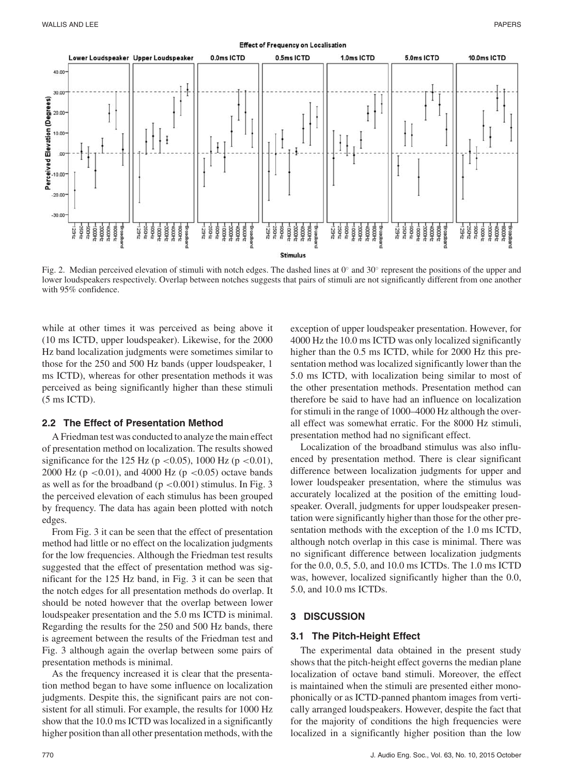

Fig. 2. Median perceived elevation of stimuli with notch edges. The dashed lines at 0◦ and 30◦ represent the positions of the upper and lower loudspeakers respectively. Overlap between notches suggests that pairs of stimuli are not significantly different from one another with 95% confidence.

while at other times it was perceived as being above it (10 ms ICTD, upper loudspeaker). Likewise, for the 2000 Hz band localization judgments were sometimes similar to those for the 250 and 500 Hz bands (upper loudspeaker, 1 ms ICTD), whereas for other presentation methods it was perceived as being significantly higher than these stimuli (5 ms ICTD).

# **2.2 The Effect of Presentation Method**

A Friedman test was conducted to analyze the main effect of presentation method on localization. The results showed significance for the 125 Hz (p <0.05), 1000 Hz (p <0.01), 2000 Hz ( $p < 0.01$ ), and 4000 Hz ( $p < 0.05$ ) octave bands as well as for the broadband ( $p < 0.001$ ) stimulus. In Fig. 3 the perceived elevation of each stimulus has been grouped by frequency. The data has again been plotted with notch edges.

From Fig. 3 it can be seen that the effect of presentation method had little or no effect on the localization judgments for the low frequencies. Although the Friedman test results suggested that the effect of presentation method was significant for the 125 Hz band, in Fig. 3 it can be seen that the notch edges for all presentation methods do overlap. It should be noted however that the overlap between lower loudspeaker presentation and the 5.0 ms ICTD is minimal. Regarding the results for the 250 and 500 Hz bands, there is agreement between the results of the Friedman test and Fig. 3 although again the overlap between some pairs of presentation methods is minimal.

As the frequency increased it is clear that the presentation method began to have some influence on localization judgments. Despite this, the significant pairs are not consistent for all stimuli. For example, the results for 1000 Hz show that the 10.0 ms ICTD was localized in a significantly higher position than all other presentation methods, with the exception of upper loudspeaker presentation. However, for 4000 Hz the 10.0 ms ICTD was only localized significantly higher than the 0.5 ms ICTD, while for 2000 Hz this presentation method was localized significantly lower than the 5.0 ms ICTD, with localization being similar to most of the other presentation methods. Presentation method can therefore be said to have had an influence on localization for stimuli in the range of 1000–4000 Hz although the overall effect was somewhat erratic. For the 8000 Hz stimuli, presentation method had no significant effect.

Localization of the broadband stimulus was also influenced by presentation method. There is clear significant difference between localization judgments for upper and lower loudspeaker presentation, where the stimulus was accurately localized at the position of the emitting loudspeaker. Overall, judgments for upper loudspeaker presentation were significantly higher than those for the other presentation methods with the exception of the 1.0 ms ICTD, although notch overlap in this case is minimal. There was no significant difference between localization judgments for the 0.0, 0.5, 5.0, and 10.0 ms ICTDs. The 1.0 ms ICTD was, however, localized significantly higher than the 0.0, 5.0, and 10.0 ms ICTDs.

# **3 DISCUSSION**

#### **3.1 The Pitch-Height Effect**

The experimental data obtained in the present study shows that the pitch-height effect governs the median plane localization of octave band stimuli. Moreover, the effect is maintained when the stimuli are presented either monophonically or as ICTD-panned phantom images from vertically arranged loudspeakers. However, despite the fact that for the majority of conditions the high frequencies were localized in a significantly higher position than the low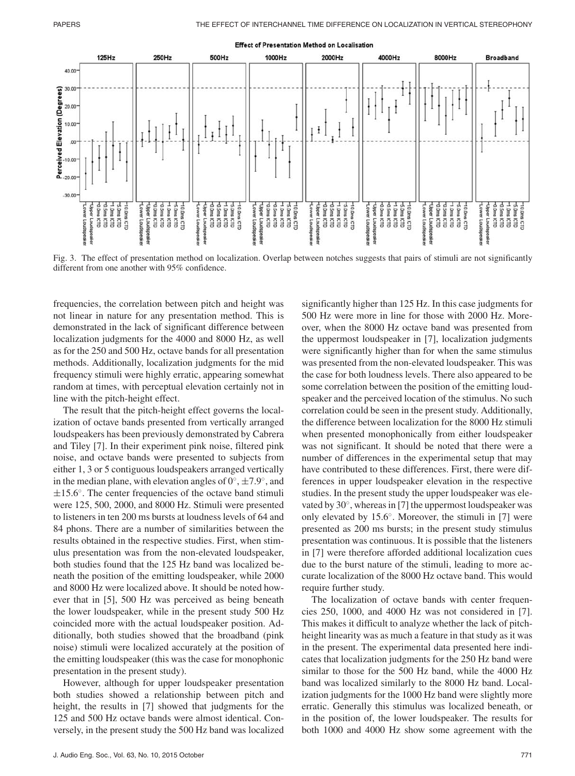

Fig. 3. The effect of presentation method on localization. Overlap between notches suggests that pairs of stimuli are not significantly different from one another with 95% confidence.

frequencies, the correlation between pitch and height was not linear in nature for any presentation method. This is demonstrated in the lack of significant difference between localization judgments for the 4000 and 8000 Hz, as well as for the 250 and 500 Hz, octave bands for all presentation methods. Additionally, localization judgments for the mid frequency stimuli were highly erratic, appearing somewhat random at times, with perceptual elevation certainly not in line with the pitch-height effect.

The result that the pitch-height effect governs the localization of octave bands presented from vertically arranged loudspeakers has been previously demonstrated by Cabrera and Tiley [7]. In their experiment pink noise, filtered pink noise, and octave bands were presented to subjects from either 1, 3 or 5 contiguous loudspeakers arranged vertically in the median plane, with elevation angles of  $0^\circ$ ,  $\pm 7.9^\circ$ , and  $\pm 15.6^\circ$ . The center frequencies of the octave band stimuli were 125, 500, 2000, and 8000 Hz. Stimuli were presented to listeners in ten 200 ms bursts at loudness levels of 64 and 84 phons. There are a number of similarities between the results obtained in the respective studies. First, when stimulus presentation was from the non-elevated loudspeaker, both studies found that the 125 Hz band was localized beneath the position of the emitting loudspeaker, while 2000 and 8000 Hz were localized above. It should be noted however that in [5], 500 Hz was perceived as being beneath the lower loudspeaker, while in the present study 500 Hz coincided more with the actual loudspeaker position. Additionally, both studies showed that the broadband (pink noise) stimuli were localized accurately at the position of the emitting loudspeaker (this was the case for monophonic presentation in the present study).

However, although for upper loudspeaker presentation both studies showed a relationship between pitch and height, the results in [7] showed that judgments for the 125 and 500 Hz octave bands were almost identical. Conversely, in the present study the 500 Hz band was localized

significantly higher than 125 Hz. In this case judgments for 500 Hz were more in line for those with 2000 Hz. Moreover, when the 8000 Hz octave band was presented from the uppermost loudspeaker in [7], localization judgments were significantly higher than for when the same stimulus was presented from the non-elevated loudspeaker. This was the case for both loudness levels. There also appeared to be some correlation between the position of the emitting loudspeaker and the perceived location of the stimulus. No such correlation could be seen in the present study. Additionally, the difference between localization for the 8000 Hz stimuli when presented monophonically from either loudspeaker was not significant. It should be noted that there were a number of differences in the experimental setup that may have contributed to these differences. First, there were differences in upper loudspeaker elevation in the respective studies. In the present study the upper loudspeaker was elevated by 30◦, whereas in [7] the uppermost loudspeaker was only elevated by 15.6◦. Moreover, the stimuli in [7] were presented as 200 ms bursts; in the present study stimulus presentation was continuous. It is possible that the listeners in [7] were therefore afforded additional localization cues due to the burst nature of the stimuli, leading to more accurate localization of the 8000 Hz octave band. This would require further study.

The localization of octave bands with center frequencies 250, 1000, and 4000 Hz was not considered in [7]. This makes it difficult to analyze whether the lack of pitchheight linearity was as much a feature in that study as it was in the present. The experimental data presented here indicates that localization judgments for the 250 Hz band were similar to those for the 500 Hz band, while the 4000 Hz band was localized similarly to the 8000 Hz band. Localization judgments for the 1000 Hz band were slightly more erratic. Generally this stimulus was localized beneath, or in the position of, the lower loudspeaker. The results for both 1000 and 4000 Hz show some agreement with the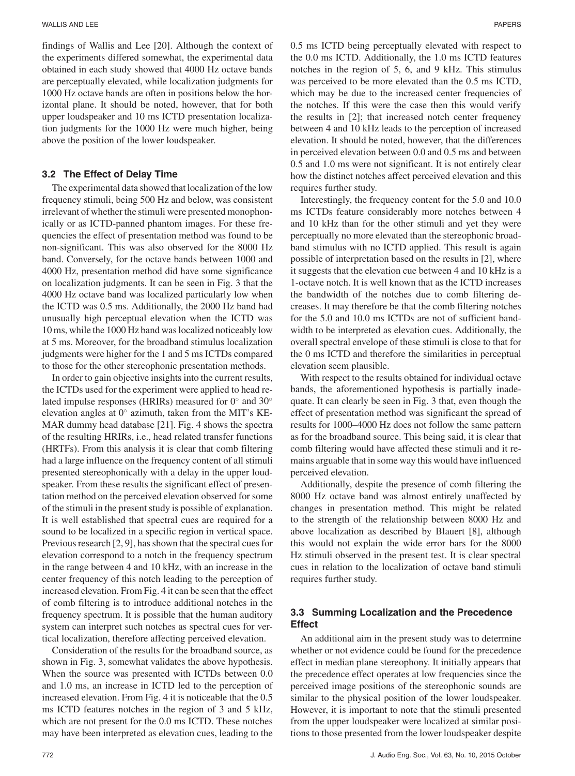findings of Wallis and Lee [20]. Although the context of the experiments differed somewhat, the experimental data obtained in each study showed that 4000 Hz octave bands are perceptually elevated, while localization judgments for 1000 Hz octave bands are often in positions below the horizontal plane. It should be noted, however, that for both upper loudspeaker and 10 ms ICTD presentation localization judgments for the 1000 Hz were much higher, being above the position of the lower loudspeaker.

#### **3.2 The Effect of Delay Time**

The experimental data showed that localization of the low frequency stimuli, being 500 Hz and below, was consistent irrelevant of whether the stimuli were presented monophonically or as ICTD-panned phantom images. For these frequencies the effect of presentation method was found to be non-significant. This was also observed for the 8000 Hz band. Conversely, for the octave bands between 1000 and 4000 Hz, presentation method did have some significance on localization judgments. It can be seen in Fig. 3 that the 4000 Hz octave band was localized particularly low when the ICTD was 0.5 ms. Additionally, the 2000 Hz band had unusually high perceptual elevation when the ICTD was 10 ms, while the 1000 Hz band was localized noticeably low at 5 ms. Moreover, for the broadband stimulus localization judgments were higher for the 1 and 5 ms ICTDs compared to those for the other stereophonic presentation methods.

In order to gain objective insights into the current results, the ICTDs used for the experiment were applied to head related impulse responses (HRIRs) measured for 0◦ and 30◦ elevation angles at 0◦ azimuth, taken from the MIT's KE-MAR dummy head database [21]. Fig. 4 shows the spectra of the resulting HRIRs, i.e., head related transfer functions (HRTFs). From this analysis it is clear that comb filtering had a large influence on the frequency content of all stimuli presented stereophonically with a delay in the upper loudspeaker. From these results the significant effect of presentation method on the perceived elevation observed for some of the stimuli in the present study is possible of explanation. It is well established that spectral cues are required for a sound to be localized in a specific region in vertical space. Previous research [2, 9], has shown that the spectral cues for elevation correspond to a notch in the frequency spectrum in the range between 4 and 10 kHz, with an increase in the center frequency of this notch leading to the perception of increased elevation. From Fig. 4 it can be seen that the effect of comb filtering is to introduce additional notches in the frequency spectrum. It is possible that the human auditory system can interpret such notches as spectral cues for vertical localization, therefore affecting perceived elevation.

Consideration of the results for the broadband source, as shown in Fig. 3, somewhat validates the above hypothesis. When the source was presented with ICTDs between 0.0 and 1.0 ms, an increase in ICTD led to the perception of increased elevation. From Fig. 4 it is noticeable that the 0.5 ms ICTD features notches in the region of 3 and 5 kHz, which are not present for the 0.0 ms ICTD. These notches may have been interpreted as elevation cues, leading to the 0.5 ms ICTD being perceptually elevated with respect to the 0.0 ms ICTD. Additionally, the 1.0 ms ICTD features notches in the region of 5, 6, and 9 kHz. This stimulus was perceived to be more elevated than the 0.5 ms ICTD, which may be due to the increased center frequencies of the notches. If this were the case then this would verify the results in [2]; that increased notch center frequency between 4 and 10 kHz leads to the perception of increased elevation. It should be noted, however, that the differences in perceived elevation between 0.0 and 0.5 ms and between 0.5 and 1.0 ms were not significant. It is not entirely clear how the distinct notches affect perceived elevation and this requires further study.

Interestingly, the frequency content for the 5.0 and 10.0 ms ICTDs feature considerably more notches between 4 and 10 kHz than for the other stimuli and yet they were perceptually no more elevated than the stereophonic broadband stimulus with no ICTD applied. This result is again possible of interpretation based on the results in [2], where it suggests that the elevation cue between 4 and 10 kHz is a 1-octave notch. It is well known that as the ICTD increases the bandwidth of the notches due to comb filtering decreases. It may therefore be that the comb filtering notches for the 5.0 and 10.0 ms ICTDs are not of sufficient bandwidth to be interpreted as elevation cues. Additionally, the overall spectral envelope of these stimuli is close to that for the 0 ms ICTD and therefore the similarities in perceptual elevation seem plausible.

With respect to the results obtained for individual octave bands, the aforementioned hypothesis is partially inadequate. It can clearly be seen in Fig. 3 that, even though the effect of presentation method was significant the spread of results for 1000–4000 Hz does not follow the same pattern as for the broadband source. This being said, it is clear that comb filtering would have affected these stimuli and it remains arguable that in some way this would have influenced perceived elevation.

Additionally, despite the presence of comb filtering the 8000 Hz octave band was almost entirely unaffected by changes in presentation method. This might be related to the strength of the relationship between 8000 Hz and above localization as described by Blauert [8], although this would not explain the wide error bars for the 8000 Hz stimuli observed in the present test. It is clear spectral cues in relation to the localization of octave band stimuli requires further study.

#### **3.3 Summing Localization and the Precedence Effect**

An additional aim in the present study was to determine whether or not evidence could be found for the precedence effect in median plane stereophony. It initially appears that the precedence effect operates at low frequencies since the perceived image positions of the stereophonic sounds are similar to the physical position of the lower loudspeaker. However, it is important to note that the stimuli presented from the upper loudspeaker were localized at similar positions to those presented from the lower loudspeaker despite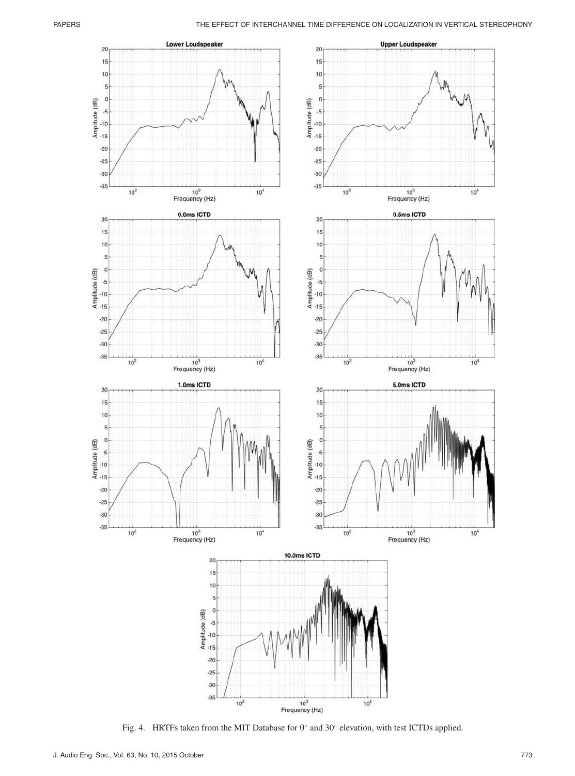

Fig. 4. HRTFs taken from the MIT Database for 0◦ and 30◦ elevation, with test ICTDs applied.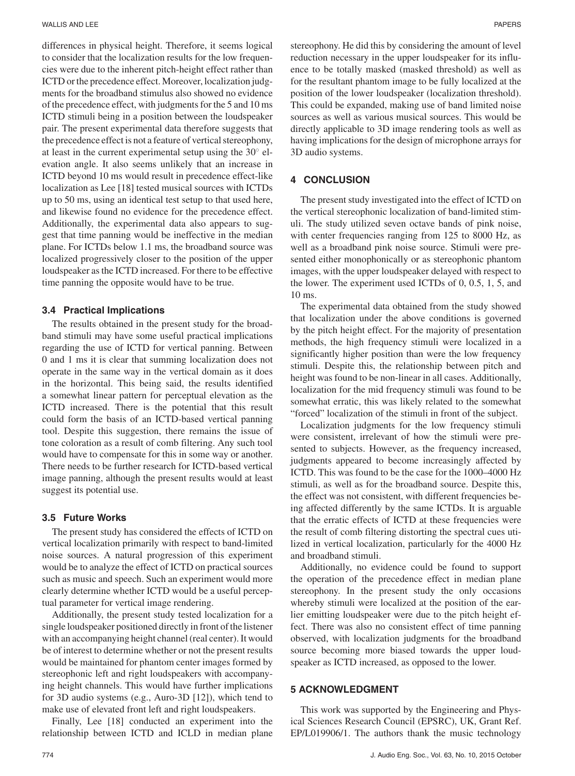#### WALLIS AND LEE PAPERS

differences in physical height. Therefore, it seems logical to consider that the localization results for the low frequencies were due to the inherent pitch-height effect rather than ICTD or the precedence effect. Moreover, localization judgments for the broadband stimulus also showed no evidence of the precedence effect, with judgments for the 5 and 10 ms ICTD stimuli being in a position between the loudspeaker pair. The present experimental data therefore suggests that the precedence effect is not a feature of vertical stereophony, at least in the current experimental setup using the  $30^\circ$  elevation angle. It also seems unlikely that an increase in ICTD beyond 10 ms would result in precedence effect-like localization as Lee [18] tested musical sources with ICTDs up to 50 ms, using an identical test setup to that used here, and likewise found no evidence for the precedence effect. Additionally, the experimental data also appears to suggest that time panning would be ineffective in the median plane. For ICTDs below 1.1 ms, the broadband source was localized progressively closer to the position of the upper loudspeaker as the ICTD increased. For there to be effective time panning the opposite would have to be true.

#### **3.4 Practical Implications**

The results obtained in the present study for the broadband stimuli may have some useful practical implications regarding the use of ICTD for vertical panning. Between 0 and 1 ms it is clear that summing localization does not operate in the same way in the vertical domain as it does in the horizontal. This being said, the results identified a somewhat linear pattern for perceptual elevation as the ICTD increased. There is the potential that this result could form the basis of an ICTD-based vertical panning tool. Despite this suggestion, there remains the issue of tone coloration as a result of comb filtering. Any such tool would have to compensate for this in some way or another. There needs to be further research for ICTD-based vertical image panning, although the present results would at least suggest its potential use.

#### **3.5 Future Works**

The present study has considered the effects of ICTD on vertical localization primarily with respect to band-limited noise sources. A natural progression of this experiment would be to analyze the effect of ICTD on practical sources such as music and speech. Such an experiment would more clearly determine whether ICTD would be a useful perceptual parameter for vertical image rendering.

Additionally, the present study tested localization for a single loudspeaker positioned directly in front of the listener with an accompanying height channel (real center). It would be of interest to determine whether or not the present results would be maintained for phantom center images formed by stereophonic left and right loudspeakers with accompanying height channels. This would have further implications for 3D audio systems (e.g., Auro-3D [12]), which tend to make use of elevated front left and right loudspeakers.

Finally, Lee [18] conducted an experiment into the relationship between ICTD and ICLD in median plane stereophony. He did this by considering the amount of level reduction necessary in the upper loudspeaker for its influence to be totally masked (masked threshold) as well as for the resultant phantom image to be fully localized at the position of the lower loudspeaker (localization threshold). This could be expanded, making use of band limited noise sources as well as various musical sources. This would be directly applicable to 3D image rendering tools as well as having implications for the design of microphone arrays for 3D audio systems.

#### **4 CONCLUSION**

The present study investigated into the effect of ICTD on the vertical stereophonic localization of band-limited stimuli. The study utilized seven octave bands of pink noise, with center frequencies ranging from 125 to 8000 Hz, as well as a broadband pink noise source. Stimuli were presented either monophonically or as stereophonic phantom images, with the upper loudspeaker delayed with respect to the lower. The experiment used ICTDs of 0, 0.5, 1, 5, and 10 ms.

The experimental data obtained from the study showed that localization under the above conditions is governed by the pitch height effect. For the majority of presentation methods, the high frequency stimuli were localized in a significantly higher position than were the low frequency stimuli. Despite this, the relationship between pitch and height was found to be non-linear in all cases. Additionally, localization for the mid frequency stimuli was found to be somewhat erratic, this was likely related to the somewhat "forced" localization of the stimuli in front of the subject.

Localization judgments for the low frequency stimuli were consistent, irrelevant of how the stimuli were presented to subjects. However, as the frequency increased, judgments appeared to become increasingly affected by ICTD. This was found to be the case for the 1000–4000 Hz stimuli, as well as for the broadband source. Despite this, the effect was not consistent, with different frequencies being affected differently by the same ICTDs. It is arguable that the erratic effects of ICTD at these frequencies were the result of comb filtering distorting the spectral cues utilized in vertical localization, particularly for the 4000 Hz and broadband stimuli.

Additionally, no evidence could be found to support the operation of the precedence effect in median plane stereophony. In the present study the only occasions whereby stimuli were localized at the position of the earlier emitting loudspeaker were due to the pitch height effect. There was also no consistent effect of time panning observed, with localization judgments for the broadband source becoming more biased towards the upper loudspeaker as ICTD increased, as opposed to the lower.

#### **5 ACKNOWLEDGMENT**

This work was supported by the Engineering and Physical Sciences Research Council (EPSRC), UK, Grant Ref. EP/L019906/1. The authors thank the music technology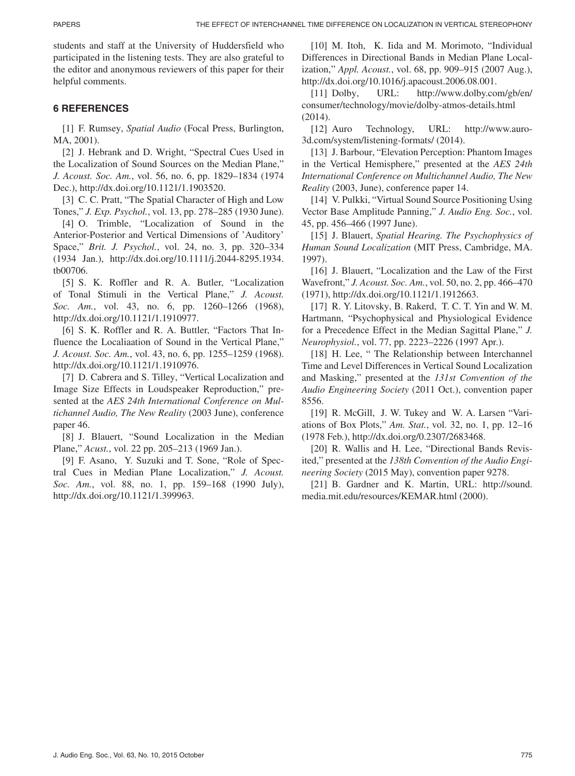students and staff at the University of Huddersfield who participated in the listening tests. They are also grateful to the editor and anonymous reviewers of this paper for their helpful comments.

# **6 REFERENCES**

[1] F. Rumsey, *Spatial Audio* (Focal Press, Burlington, MA, 2001).

[2] J. Hebrank and D. Wright, "Spectral Cues Used in the Localization of Sound Sources on the Median Plane," *J. Acoust. Soc. Am.*, vol. 56, no. 6, pp. 1829–1834 (1974 Dec.), http://dx.doi.org/10.1121/1.1903520.

[3] C. C. Pratt, "The Spatial Character of High and Low Tones," *J. Exp. Psychol.*, vol. 13, pp. 278–285 (1930 June).

[4] O. Trimble, "Localization of Sound in the Anterior-Posterior and Vertical Dimensions of 'Auditory' Space," *Brit. J. Psychol.*, vol. 24, no. 3, pp. 320–334 (1934 Jan.), http://dx.doi.org/10.1111/j.2044-8295.1934. tb00706.

[5] S. K. Roffler and R. A. Butler, "Localization of Tonal Stimuli in the Vertical Plane," *J. Acoust. Soc. Am.*, vol. 43, no. 6, pp. 1260–1266 (1968), http://dx.doi.org/10.1121/1.1910977.

[6] S. K. Roffler and R. A. Buttler, "Factors That Influence the Localiaation of Sound in the Vertical Plane," *J. Acoust. Soc. Am.*, vol. 43, no. 6, pp. 1255–1259 (1968). http://dx.doi.org/10.1121/1.1910976.

[7] D. Cabrera and S. Tilley, "Vertical Localization and Image Size Effects in Loudspeaker Reproduction," presented at the *AES 24th International Conference on Multichannel Audio, The New Reality* (2003 June), conference paper 46.

[8] J. Blauert, "Sound Localization in the Median Plane," *Acust.*, vol. 22 pp. 205–213 (1969 Jan.).

[9] F. Asano, Y. Suzuki and T. Sone, "Role of Spectral Cues in Median Plane Localization," *J. Acoust. Soc. Am.*, vol. 88, no. 1, pp. 159–168 (1990 July), http://dx.doi.org/10.1121/1.399963.

[10] M. Itoh, K. Iida and M. Morimoto, "Individual Differences in Directional Bands in Median Plane Localization," *Appl. Acoust.*, vol. 68, pp. 909–915 (2007 Aug.), http://dx.doi.org/10.1016/j.apacoust.2006.08.001.

[11] Dolby, URL: http://www.dolby.com/gb/en/ consumer/technology/movie/dolby-atmos-details.html (2014).

[12] Auro Technology, URL: http://www.auro-3d.com/system/listening-formats/ (2014).

[13] J. Barbour, "Elevation Perception: Phantom Images in the Vertical Hemisphere," presented at the *AES 24th International Conference on Multichannel Audio, The New Reality* (2003, June), conference paper 14.

[14] V. Pulkki, "Virtual Sound Source Positioning Using Vector Base Amplitude Panning," *J. Audio Eng. Soc.*, vol. 45, pp. 456–466 (1997 June).

[15] J. Blauert, *Spatial Hearing. The Psychophysics of Human Sound Localization* (MIT Press, Cambridge, MA. 1997).

[16] J. Blauert, "Localization and the Law of the First Wavefront," *J. Acoust. Soc. Am.*, vol. 50, no. 2, pp. 466–470 (1971), http://dx.doi.org/10.1121/1.1912663.

[17] R. Y. Litovsky, B. Rakerd, T. C. T. Yin and W. M. Hartmann, "Psychophysical and Physiological Evidence for a Precedence Effect in the Median Sagittal Plane," *J. Neurophysiol.*, vol. 77, pp. 2223–2226 (1997 Apr.).

[18] H. Lee, "The Relationship between Interchannel Time and Level Differences in Vertical Sound Localization and Masking," presented at the *131st Convention of the Audio Engineering Society* (2011 Oct.), convention paper 8556.

[19] R. McGill, J. W. Tukey and W. A. Larsen "Variations of Box Plots," *Am. Stat.*, vol. 32, no. 1, pp. 12–16 (1978 Feb.), http://dx.doi.org/0.2307/2683468.

[20] R. Wallis and H. Lee, "Directional Bands Revisited," presented at the *138th Convention of the Audio Engineering Society* (2015 May), convention paper 9278.

[21] B. Gardner and K. Martin, URL: http://sound. media.mit.edu/resources/KEMAR.html (2000).